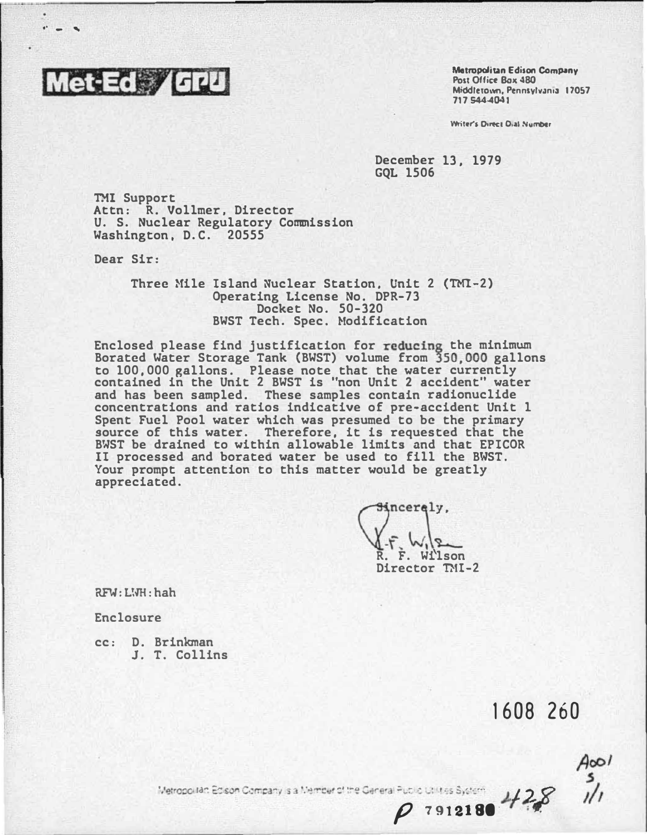

**Metropolitan Edison Company** Post Office Bax 480 Middletown, Pennsylvania 17057 717 544 4041

Writer's Direct Dial Number

December 13, 1979 **GOL 1506** 

**TMI Support** Attn: R. Vollmer, Director<br>U. S. Nuclear Regulatory Commission Washington, D.C. 20555

Dear Sir:

Three Mile Island Nuclear Station, Unit 2 (TMI-2) Operating License No. DPR-73 Docket No. 50-320 BWST Tech. Spec. Modification

Enclosed please find justification for reducing the minimum Borated Water Storage Tank (BWST) volume from 350,000 gallons to 100,000 gallons. Please note that the water currently contained in the Unit 2 BWST is "non Unit 2 accident" water<br>and has been sampled. These samples contain radionuclide concentrations and ratios indicative of pre-accident Unit 1 Spent Fuel Pool water which was presumed to be the primary source of this water. Therefore, it is requested that the BWST be drained to within allowable limits and that EPICOR II processed and borated water be used to fill the BWST. Your prompt attention to this matter would be greatly appreciated.

incerely, F. Wilson Director TMI-2

RFW: LWH: hah

Enclosure

cc: D. Brinkman J. T. Collins

1608 260

 $428$ 

7912180

 $A$ 001

Metropolitan Edison Company is a Member of the General Public Utilities System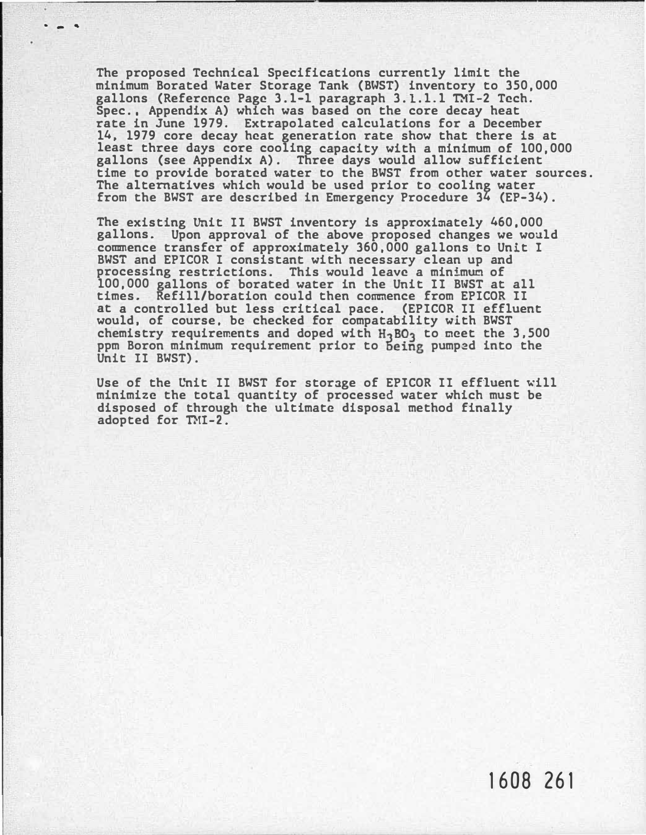The proposed Technical Specifications currently limit the minimum Borated Water Storage Tank (BWST) inventory to 350,000 gallons (Reference Page 3.1-1 paragraph 3.1.1.1 TMI-2 Tech. Spec., Appendix A) which was based on the core decay heat rate in June 1979. Extrapolated calculations for a December 14, 1979 core decay heat generation rate show that there is at least three days core cooling capacity with a minimum of 100,000 gallons (see Appendix A) . Three days would allow sufficient time to provide borated water to the BWST from other water sources. The alternatives which would be used prior to cooling water from the BWST are described in Emergency Procedure 34 (EP-34) .

... '

The existing Unit II BWST inventory is approximately 460,000 gallons. Upon approval of the above proposed changes we woald commence transfer of approximately 360,000 gallons to Unit I BWST and EPICOR I consistant with necessary clean up and processing restrictions. This would leave a minimum of 100,000 gallons of borated water in the Unit II BWST at all times. Refill/boration could then commence from EPICOR II at a controlled but less critical pace. (EPICOR II effluent would, of course, be checked for compatability with BWST chemistry requirements and doped with  $H_3BO_3$  to meet the 3,500 ppm Boron minimum requirement prior to being pumped into the Unit II BWST).

Use of the Unit II BWST for storage of EPICOR II effluent will minimize the total quantity of processed water which must be disposed of through the ultimate disposal method finally adopted for TMI-2.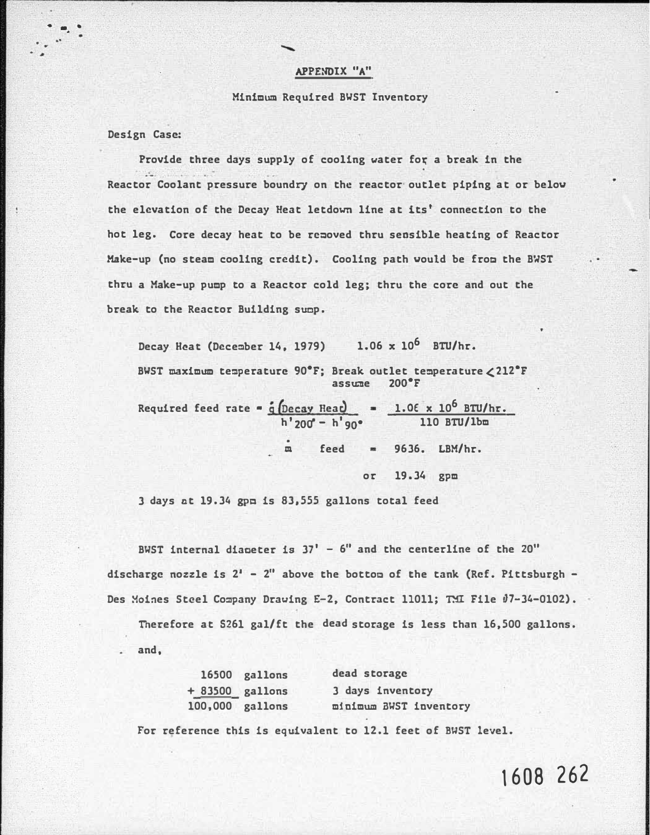## APPENDIX "A"

## Minimum Required BWST Inventory

Design Case:

 $\cdot$  . .

 $\cdot$   $\cdot$ 

Provide three days supply of cooling water for a break in the Reactor Coolant pressure boundry on the reactor· outlet piping at or below the elevation of the Decay Heat letdown line at its' connection to the hot leg. Core decay heat to be rc�oved thru sensible heating of Reactor Make-up (no steam cooling credit). Cooling path would be from the BWST thru a Make-up pump to a Reactor cold leg; thru the core and out the break to the Reactor Building sump.

Decay Heat (December 14, 1979) 1.06  $x$  10<sup>6</sup> BTU/hr. BWST maximum temperature 90°F; Break outlet temperature  $\angle 212$ °F assume 200°F Required feed rate = <u>q Decay Reat</u> h'<sub>200</sub>° – h'<sub>90</sub>°  $1.06 \times 10^6$  BTU/hr. 110 BTU/lbm  $m$  feed = 9636. LBM/hr. or 19.34 gpm

3 days ct 19.34 gpm is 83,555 gallons total feed

BWST internal diameter is  $37' - 6''$  and the centerline of the  $20''$ discharge nozzle is  $2'$  -  $2''$  above the bottom of the tank (Ref. Pittsburgh -Des Moines Steel Company Drawing E-2, Contract 11011; TMI File 07-34-0102).

Therefore at 5261 gal/ft the dead storage is less than 16,500 gallons. and,

|  | 16500 gallons     | dead storage           |
|--|-------------------|------------------------|
|  | $+ 83500$ gallons | 3 days inventory       |
|  | 100,000 gallons   | minimum BWST inventory |

For reference this is equivalent to 12.1 feet of BWST level.

1608 262